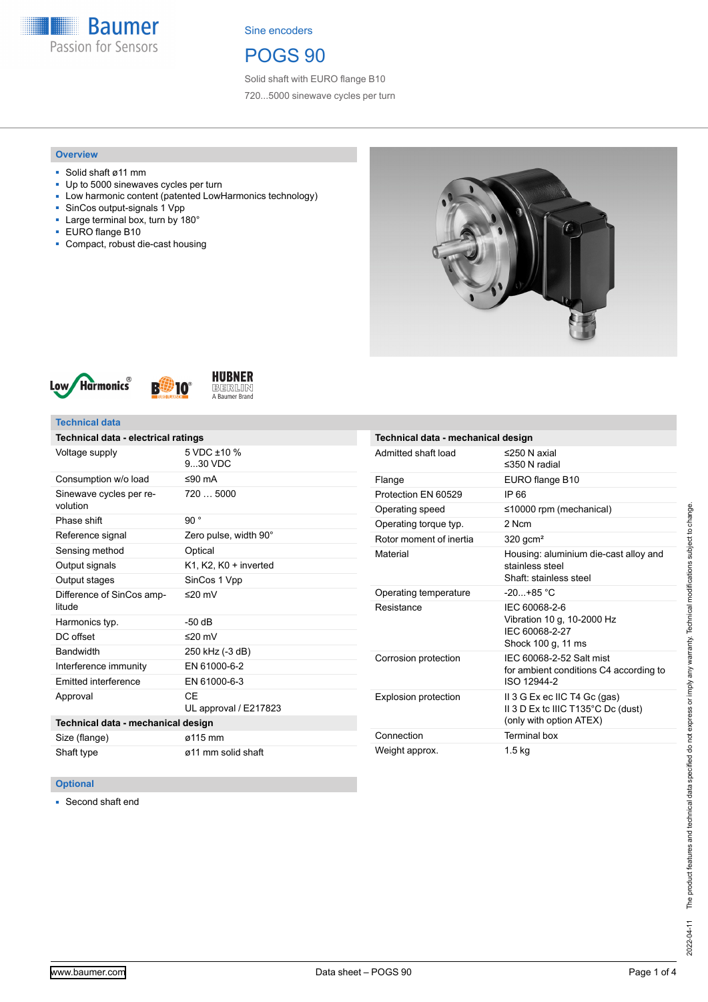

## POGS 90

Solid shaft with EURO flange B10 720...5000 sinewave cycles per turn

#### **Overview**

- Solid shaft ø11 mm
- Up to 5000 sinewaves cycles per turn
- Low harmonic content (patented LowHarmonics technology)
- SinCos output-signals 1 Vpp ■ Large terminal box, turn by 180°
- 
- EURO flange B10
- Compact, robust die-cast housing







### **Technical data**

| Technical data - electrical ratings |                                     |  |
|-------------------------------------|-------------------------------------|--|
| Voltage supply                      | $5 \text{ VDC} + 10 \%$<br>9.30 VDC |  |
| Consumption w/o load                | ≤90 $mA$                            |  |
| Sinewave cycles per re-<br>volution | 720  5000                           |  |
| Phase shift                         | 90°                                 |  |
| Reference signal                    | Zero pulse, width 90°               |  |
| Sensing method                      | Optical                             |  |
| Output signals                      | K1, K2, K0 + inverted               |  |
| Output stages                       | SinCos 1 Vpp                        |  |
| Difference of SinCos amp-<br>litude | ≤20 mV                              |  |
| Harmonics typ.                      | -50 dB                              |  |
| DC offset                           | ≤20 $mV$                            |  |
| Bandwidth                           | 250 kHz (-3 dB)                     |  |
| Interference immunity               | EN 61000-6-2                        |  |
| Emitted interference                | EN 61000-6-3                        |  |
| Approval                            | СF<br>UL approval / E217823         |  |
| Technical data - mechanical design  |                                     |  |
| Size (flange)                       | ø115 mm                             |  |
| Shaft type                          | ø11 mm solid shaft                  |  |

| Technical data - mechanical design |                                                                                               |  |  |
|------------------------------------|-----------------------------------------------------------------------------------------------|--|--|
| Admitted shaft load                | $\leq$ 250 N axial<br>$\leq$ 350 N radial                                                     |  |  |
| Flange                             | EURO flange B10                                                                               |  |  |
| Protection FN 60529                | IP 66                                                                                         |  |  |
| Operating speed                    | $\leq$ 10000 rpm (mechanical)                                                                 |  |  |
| Operating torque typ.              | 2 Ncm                                                                                         |  |  |
| Rotor moment of inertia            | $320$ gcm <sup>2</sup>                                                                        |  |  |
| Material                           | Housing: aluminium die-cast alloy and<br>stainless steel<br>Shaft: stainless steel            |  |  |
| Operating temperature              | $-20+85 °C$                                                                                   |  |  |
| Resistance                         | IEC 60068-2-6<br>Vibration 10 g, 10-2000 Hz<br>IEC 60068-2-27<br>Shock 100 g, 11 ms           |  |  |
| Corrosion protection               | IFC 60068-2-52 Salt mist<br>for ambient conditions C4 according to<br>ISO 12944-2             |  |  |
| <b>Explosion protection</b>        | II 3 G Ex ec IIC T4 Gc (gas)<br>II 3 D Ex tc IIIC T135°C Dc (dust)<br>(only with option ATEX) |  |  |
| Connection                         | <b>Terminal box</b>                                                                           |  |  |
| Weight approx.                     | 1.5 kg                                                                                        |  |  |

### **Optional**

■ Second shaft end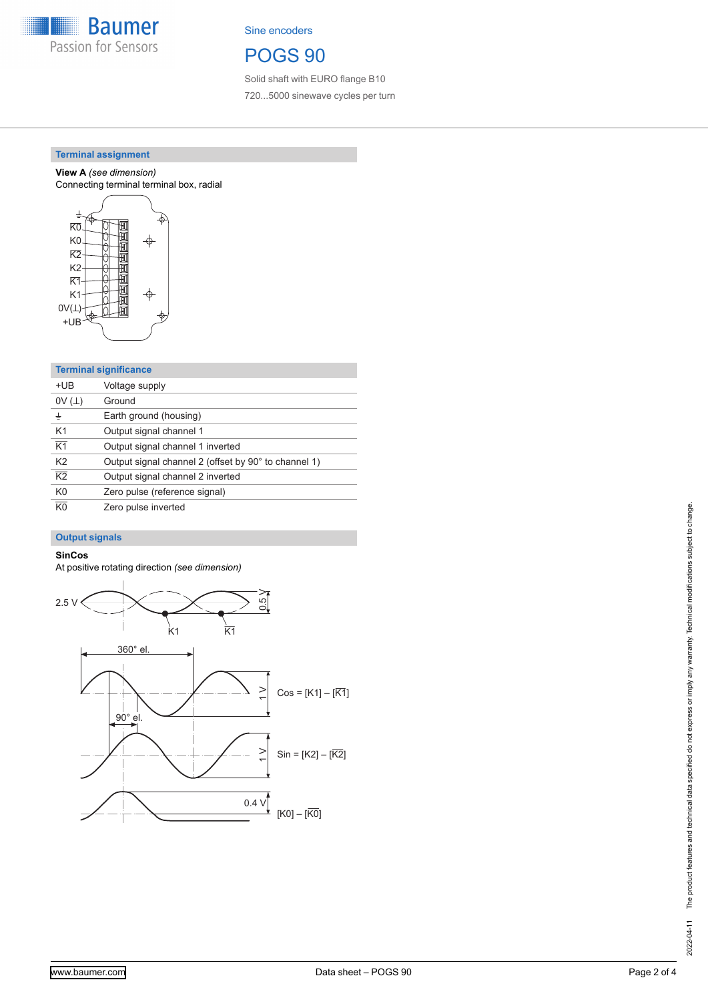

## POGS 90

Solid shaft with EURO flange B10 720...5000 sinewave cycles per turn

### **Terminal assignment**

**View A** *(see dimension)* Connecting terminal terminal box, radial



| <b>Terminal significance</b> |                                                      |  |
|------------------------------|------------------------------------------------------|--|
| +UB                          | Voltage supply                                       |  |
| 0V(L)                        | Ground                                               |  |
| ±                            | Earth ground (housing)                               |  |
| K <sub>1</sub>               | Output signal channel 1                              |  |
| K <sub>1</sub>               | Output signal channel 1 inverted                     |  |
| K <sub>2</sub>               | Output signal channel 2 (offset by 90° to channel 1) |  |
| $\overline{K2}$              | Output signal channel 2 inverted                     |  |
| K <sub>0</sub>               | Zero pulse (reference signal)                        |  |
| $\overline{K}$ <sup>0</sup>  | Zero pulse inverted                                  |  |

### **Output signals**

## **SinCos**

At positive rotating direction *(see dimension)*

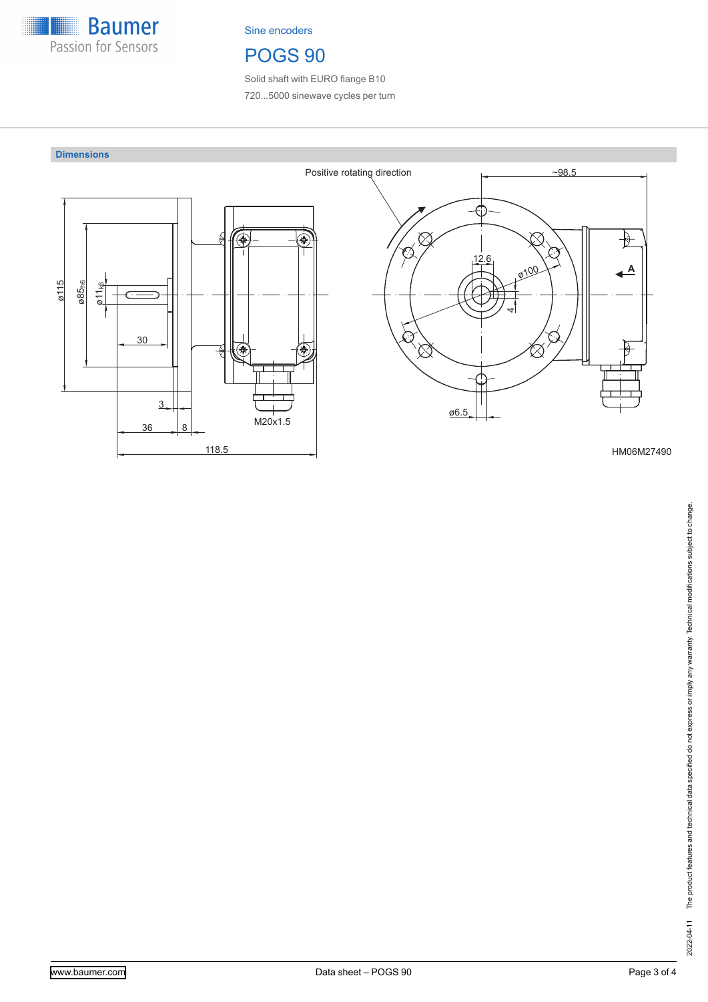

# POGS 90

Solid shaft with EURO flange B10 720...5000 sinewave cycles per turn